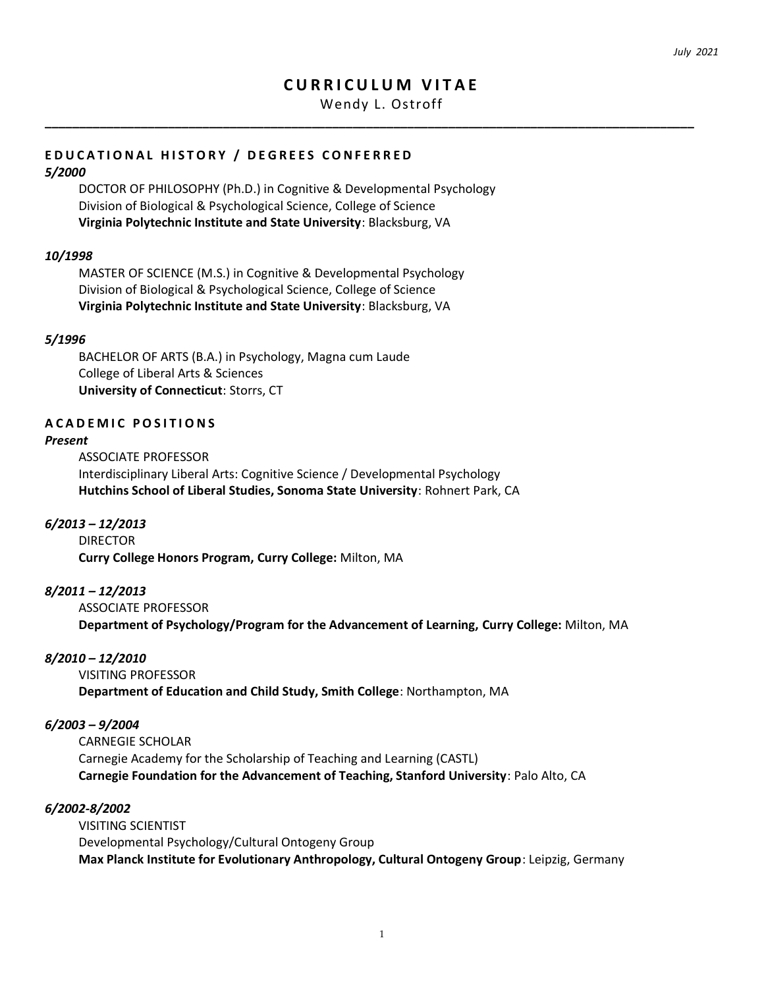# **C U R R I C U L U M V I T A E**

Wendy L. Ostroff

**\_\_\_\_\_\_\_\_\_\_\_\_\_\_\_\_\_\_\_\_\_\_\_\_\_\_\_\_\_\_\_\_\_\_\_\_\_\_\_\_\_\_\_\_\_\_\_\_\_\_\_\_\_\_\_\_\_\_\_\_\_\_\_\_\_\_\_\_\_\_\_\_\_\_\_\_\_\_\_\_\_\_\_\_\_\_\_\_\_\_\_\_\_\_\_**

# E D U CATIONAL HISTORY / DEGREES CONFERRED

### *5/2000*

DOCTOR OF PHILOSOPHY (Ph.D.) in Cognitive & Developmental Psychology Division of Biological & Psychological Science, College of Science **Virginia Polytechnic Institute and State University**: Blacksburg, VA

## *10/1998*

MASTER OF SCIENCE (M.S.) in Cognitive & Developmental Psychology Division of Biological & Psychological Science, College of Science **Virginia Polytechnic Institute and State University**: Blacksburg, VA

## *5/1996*

BACHELOR OF ARTS (B.A.) in Psychology, Magna cum Laude College of Liberal Arts & Sciences **University of Connecticut**: Storrs, CT

## **A C A D E M I C P O S I T I O N S**

#### *Present*

ASSOCIATE PROFESSOR Interdisciplinary Liberal Arts: Cognitive Science / Developmental Psychology **Hutchins School of Liberal Studies, Sonoma State University**: Rohnert Park, CA

## *6/2013 – 12/2013*

DIRECTOR

**Curry College Honors Program, Curry College:** Milton, MA

## *8/2011 – 12/2013*

ASSOCIATE PROFESSOR **Department of Psychology/Program for the Advancement of Learning, Curry College:** Milton, MA

## *8/2010 – 12/2010*

VISITING PROFESSOR **Department of Education and Child Study, Smith College**: Northampton, MA

## *6/2003 – 9/2004*

CARNEGIE SCHOLAR Carnegie Academy for the Scholarship of Teaching and Learning (CASTL) **Carnegie Foundation for the Advancement of Teaching, Stanford University**: Palo Alto, CA

#### *6/2002-8/2002*

VISITING SCIENTIST Developmental Psychology/Cultural Ontogeny Group **Max Planck Institute for Evolutionary Anthropology, Cultural Ontogeny Group**: Leipzig, Germany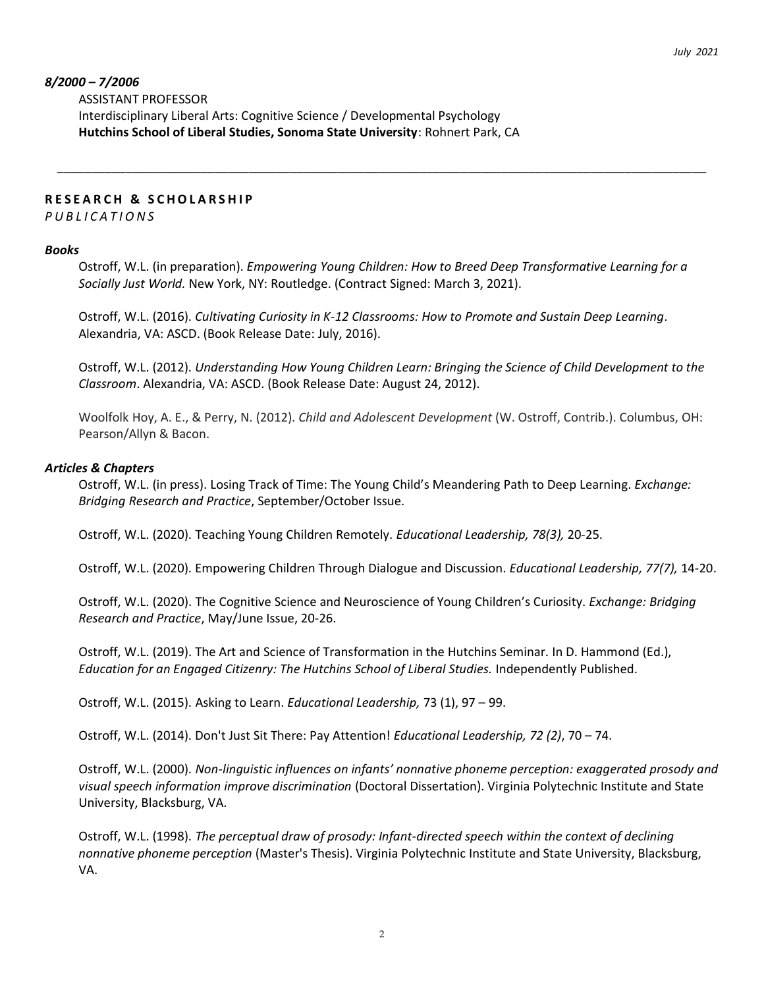## *8/2000 – 7/2006*

ASSISTANT PROFESSOR Interdisciplinary Liberal Arts: Cognitive Science / Developmental Psychology **Hutchins School of Liberal Studies, Sonoma State University**: Rohnert Park, CA

## **R E S E A R C H & S C H O L A R S H I P**

*P U B L I C A T I O N S*

#### *Books*

Ostroff, W.L. (in preparation). *Empowering Young Children: How to Breed Deep Transformative Learning for a Socially Just World.* New York, NY: Routledge. (Contract Signed: March 3, 2021).

\_\_\_\_\_\_\_\_\_\_\_\_\_\_\_\_\_\_\_\_\_\_\_\_\_\_\_\_\_\_\_\_\_\_\_\_\_\_\_\_\_\_\_\_\_\_\_\_\_\_\_\_\_\_\_\_\_\_\_\_\_\_\_\_\_\_\_\_\_\_\_\_\_\_\_\_\_\_\_\_\_\_\_\_\_\_\_\_\_\_\_\_\_\_\_

Ostroff, W.L. (2016). *Cultivating Curiosity in K-12 Classrooms: How to Promote and Sustain Deep Learning*. Alexandria, VA: ASCD. (Book Release Date: July, 2016).

Ostroff, W.L. (2012). *Understanding How Young Children Learn: Bringing the Science of Child Development to the Classroom*. Alexandria, VA: ASCD. (Book Release Date: August 24, 2012).

Woolfolk Hoy, A. E., & Perry, N. (2012). *Child and Adolescent Development* (W. Ostroff, Contrib.). Columbus, OH: Pearson/Allyn & Bacon.

#### *Articles & Chapters*

Ostroff, W.L. (in press). Losing Track of Time: The Young Child's Meandering Path to Deep Learning. *Exchange: Bridging Research and Practice*, September/October Issue.

Ostroff, W.L. (2020). Teaching Young Children Remotely. *Educational Leadership, 78(3),* 20-25.

Ostroff, W.L. (2020). Empowering Children Through Dialogue and Discussion. *Educational Leadership, 77(7),* 14-20.

Ostroff, W.L. (2020). The Cognitive Science and Neuroscience of Young Children's Curiosity. *Exchange: Bridging Research and Practice*, May/June Issue, 20-26.

Ostroff, W.L. (2019). The Art and Science of Transformation in the Hutchins Seminar. In D. Hammond (Ed.), *Education for an Engaged Citizenry: The Hutchins School of Liberal Studies.* Independently Published.

Ostroff, W.L. (2015). Asking to Learn. *Educational Leadership,* 73 (1), 97 – 99.

Ostroff, W.L. (2014). Don't Just Sit There: Pay Attention! *Educational Leadership, 72 (2)*, 70 – 74.

Ostroff, W.L. (2000). *Non-linguistic influences on infants' nonnative phoneme perception: exaggerated prosody and visual speech information improve discrimination* (Doctoral Dissertation). Virginia Polytechnic Institute and State University, Blacksburg, VA.

Ostroff, W.L. (1998). *The perceptual draw of prosody: Infant-directed speech within the context of declining nonnative phoneme perception* (Master's Thesis). Virginia Polytechnic Institute and State University, Blacksburg, VA.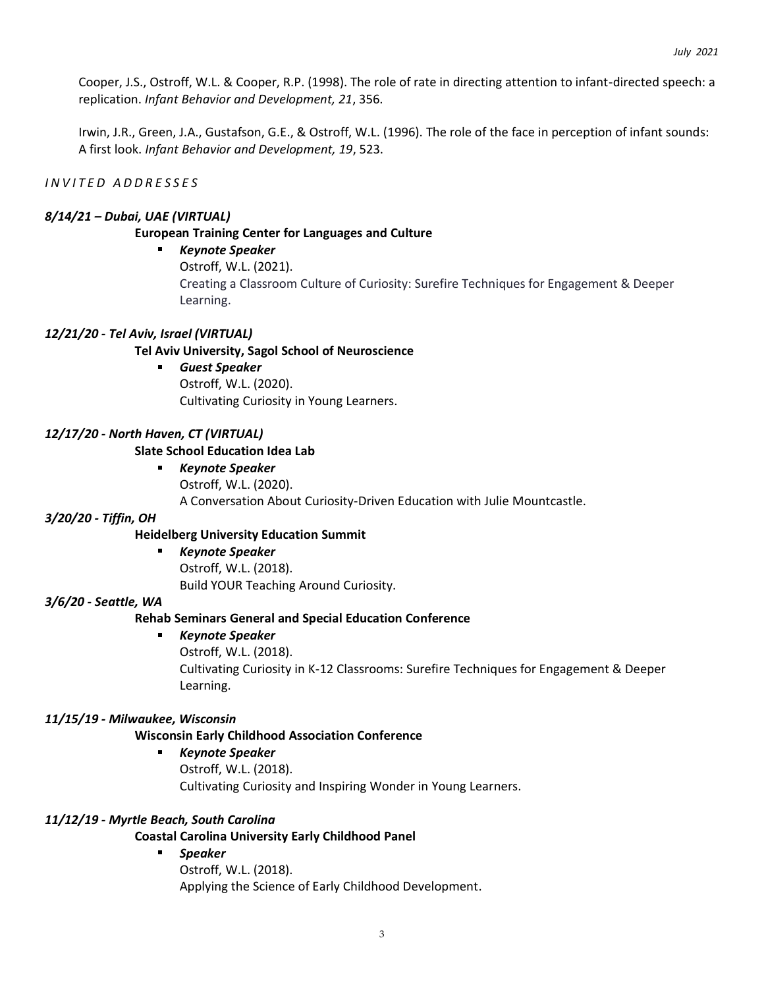Cooper, J.S., Ostroff, W.L. & Cooper, R.P. (1998). The role of rate in directing attention to infant-directed speech: a replication. *Infant Behavior and Development, 21*, 356.

Irwin, J.R., Green, J.A., Gustafson, G.E., & Ostroff, W.L. (1996). The role of the face in perception of infant sounds: A first look. *Infant Behavior and Development, 19*, 523.

## *I N V I T E D A D D R E S S E S*

### *8/14/21 – Dubai, UAE (VIRTUAL)*

## **European Training Center for Languages and Culture**

# *Keynote Speaker*

Ostroff, W.L. (2021).

Creating a Classroom Culture of Curiosity: Surefire Techniques for Engagement & Deeper Learning.

## *12/21/20 - Tel Aviv, Israel (VIRTUAL)*

## **Tel Aviv University, Sagol School of Neuroscience**

*Guest Speaker*

Learning.

Ostroff, W.L. (2020). Cultivating Curiosity in Young Learners.

## *12/17/20 - North Haven, CT (VIRTUAL)*

## **Slate School Education Idea Lab**

*Keynote Speaker* Ostroff, W.L. (2020). A Conversation About Curiosity-Driven Education with Julie Mountcastle.

#### *3/20/20 - Tiffin, OH*

## **Heidelberg University Education Summit**

*Keynote Speaker*  $\mathbf{r}$ Ostroff, W.L. (2018). Build YOUR Teaching Around Curiosity.

#### *3/6/20 - Seattle, WA*

## **Rehab Seminars General and Special Education Conference**

 $\blacksquare$ *Keynote Speaker* Ostroff, W.L. (2018). Cultivating Curiosity in K-12 Classrooms: Surefire Techniques for Engagement & Deeper

#### *11/15/19 - Milwaukee, Wisconsin*

## **Wisconsin Early Childhood Association Conference**

 $\blacksquare$ *Keynote Speaker* Ostroff, W.L. (2018). Cultivating Curiosity and Inspiring Wonder in Young Learners.

#### *11/12/19 - Myrtle Beach, South Carolina*

## **Coastal Carolina University Early Childhood Panel**

*Speaker* Ostroff, W.L. (2018). Applying the Science of Early Childhood Development.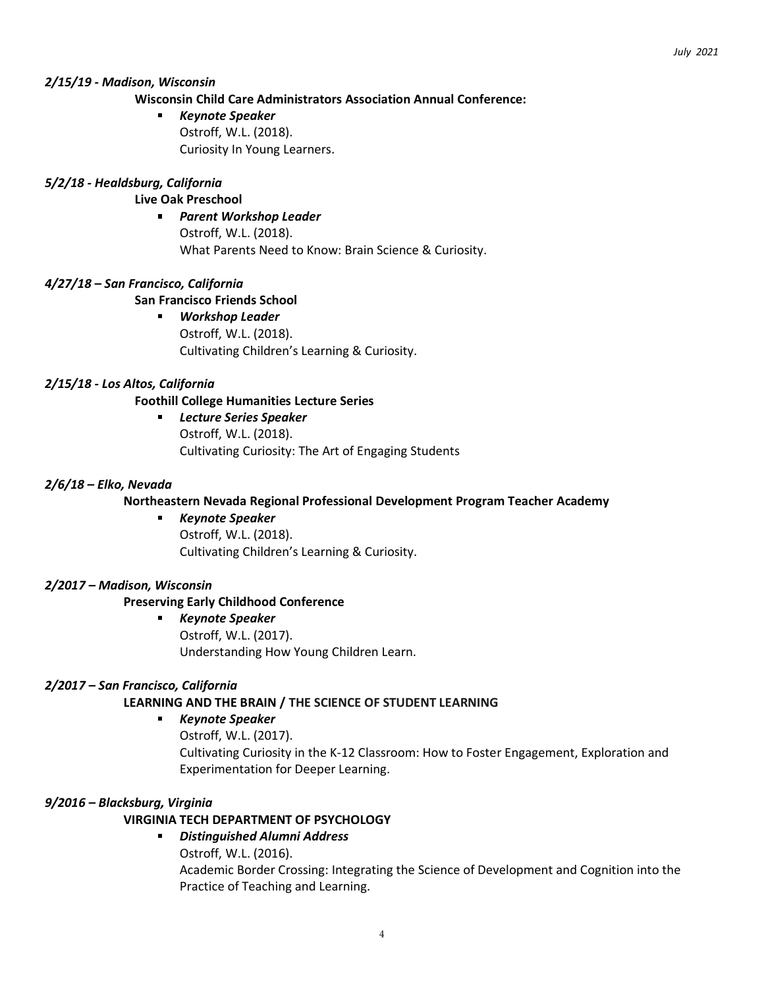## *2/15/19 - Madison, Wisconsin*

# **Wisconsin Child Care Administrators Association Annual Conference:**

*Keynote Speaker* Ostroff, W.L. (2018). Curiosity In Young Learners.

## *5/2/18 - Healdsburg, California*

# **Live Oak Preschool**

*Parent Workshop Leader* Ostroff, W.L. (2018). What Parents Need to Know: Brain Science & Curiosity.

# *4/27/18 – San Francisco, California*

## **San Francisco Friends School**

*Workshop Leader* Ostroff, W.L. (2018). Cultivating Children's Learning & Curiosity.

## *2/15/18 - Los Altos, California*

## **Foothill College Humanities Lecture Series**

*Lecture Series Speaker*  $\blacksquare$ Ostroff, W.L. (2018). Cultivating Curiosity: The Art of Engaging Students

## *2/6/18 – Elko, Nevada*

## **Northeastern Nevada Regional Professional Development Program Teacher Academy**

#### *Keynote Speaker*  $\blacksquare$

Ostroff, W.L. (2018). Cultivating Children's Learning & Curiosity.

## *2/2017 – Madison, Wisconsin*

## **Preserving Early Childhood Conference**

- *Keynote Speaker*
	- Ostroff, W.L. (2017). Understanding How Young Children Learn.

## *2/2017 – San Francisco, California*

# **LEARNING AND THE BRAIN / THE SCIENCE OF STUDENT LEARNING**

#### a. *Keynote Speaker*

Ostroff, W.L. (2017).

Cultivating Curiosity in the K-12 Classroom: How to Foster Engagement, Exploration and Experimentation for Deeper Learning.

# *9/2016 – Blacksburg, Virginia*

# **VIRGINIA TECH DEPARTMENT OF PSYCHOLOGY**

# *Distinguished Alumni Address*

Ostroff, W.L. (2016). Academic Border Crossing: Integrating the Science of Development and Cognition into the Practice of Teaching and Learning.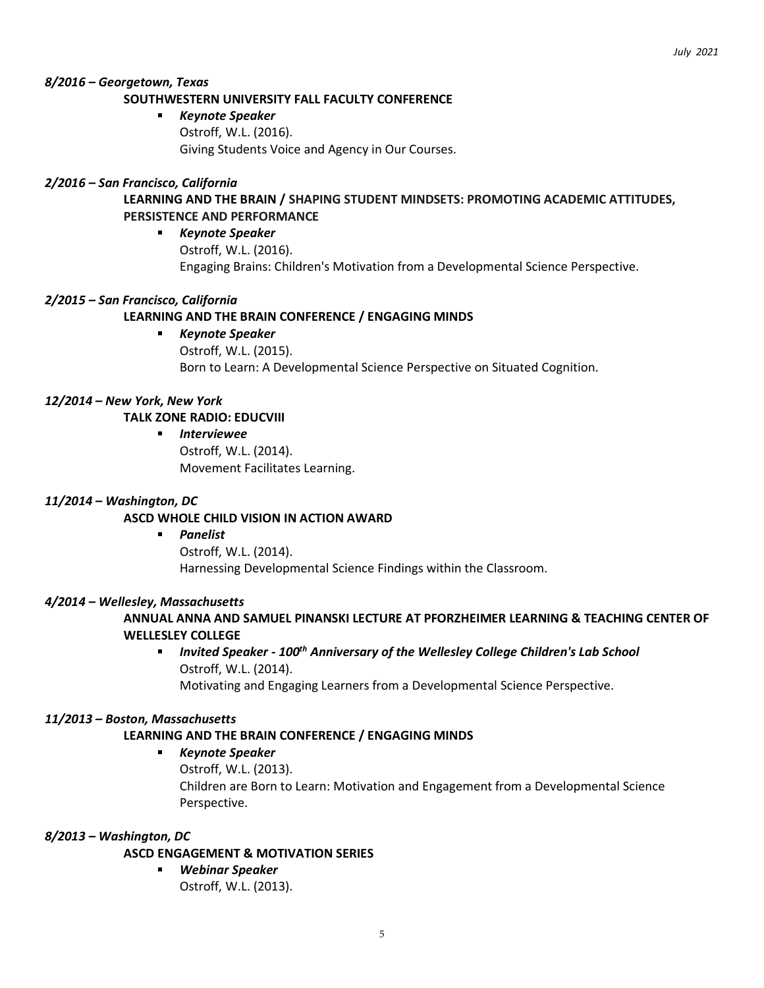# *8/2016 – Georgetown, Texas*

## **SOUTHWESTERN UNIVERSITY FALL FACULTY CONFERENCE**

*Keynote Speaker* Ostroff, W.L. (2016). Giving Students Voice and Agency in Our Courses.

## *2/2016 – San Francisco, California*

# **LEARNING AND THE BRAIN / SHAPING STUDENT MINDSETS: PROMOTING ACADEMIC ATTITUDES, PERSISTENCE AND PERFORMANCE**

*Keynote Speaker*  $\mathbf{r}$ Ostroff, W.L. (2016). Engaging Brains: Children's Motivation from a Developmental Science Perspective.

#### *2/2015 – San Francisco, California*

## **LEARNING AND THE BRAIN CONFERENCE / ENGAGING MINDS**

*Keynote Speaker*  $\blacksquare$ Ostroff, W.L. (2015). Born to Learn: A Developmental Science Perspective on Situated Cognition.

#### *12/2014 – New York, New York*

## **TALK ZONE RADIO: EDUCVIII**

*Interviewee* Ostroff, W.L. (2014). Movement Facilitates Learning.

### *11/2014 – Washington, DC*

## **ASCD WHOLE CHILD VISION IN ACTION AWARD**

*Panelist* Ostroff, W.L. (2014).

Harnessing Developmental Science Findings within the Classroom.

#### *4/2014 – Wellesley, Massachusetts*

# **ANNUAL ANNA AND SAMUEL PINANSKI LECTURE AT PFORZHEIMER LEARNING & TEACHING CENTER OF WELLESLEY COLLEGE**

# *Invited Speaker - 100th Anniversary of the Wellesley College Children's Lab School* Ostroff, W.L. (2014).

Motivating and Engaging Learners from a Developmental Science Perspective.

#### *11/2013 – Boston, Massachusetts*

## **LEARNING AND THE BRAIN CONFERENCE / ENGAGING MINDS**

#### $\blacksquare$ *Keynote Speaker*

Ostroff, W.L. (2013). Children are Born to Learn: Motivation and Engagement from a Developmental Science Perspective.

#### *8/2013 – Washington, DC*

## **ASCD ENGAGEMENT & MOTIVATION SERIES**

*Webinar Speaker* Ostroff, W.L. (2013).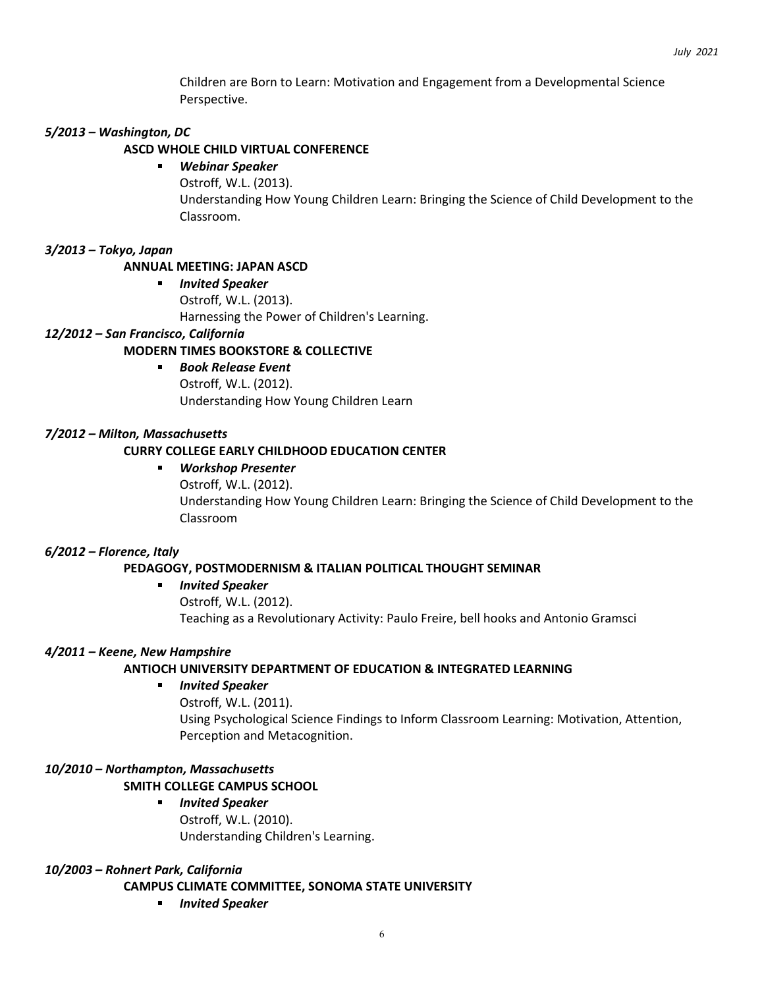Children are Born to Learn: Motivation and Engagement from a Developmental Science Perspective.

## *5/2013 – Washington, DC*

### **ASCD WHOLE CHILD VIRTUAL CONFERENCE**

#### *Webinar Speaker*  $\mathbf{r}$

Ostroff, W.L. (2013). Understanding How Young Children Learn: Bringing the Science of Child Development to the Classroom.

## *3/2013 – Tokyo, Japan*

# **ANNUAL MEETING: JAPAN ASCD**

*Invited Speaker* Ostroff, W.L. (2013). Harnessing the Power of Children's Learning.

## *12/2012 – San Francisco, California*

## **MODERN TIMES BOOKSTORE & COLLECTIVE**

*Book Release Event*  $\blacksquare$ Ostroff, W.L. (2012). Understanding How Young Children Learn

## *7/2012 – Milton, Massachusetts*

## **CURRY COLLEGE EARLY CHILDHOOD EDUCATION CENTER**

#### $\blacksquare$ *Workshop Presenter*

Ostroff, W.L. (2012). Understanding How Young Children Learn: Bringing the Science of Child Development to the Classroom

#### *6/2012 – Florence, Italy*

## **PEDAGOGY, POSTMODERNISM & ITALIAN POLITICAL THOUGHT SEMINAR**

#### $\mathbf{r}$ *Invited Speaker*

Ostroff, W.L. (2012). Teaching as a Revolutionary Activity: Paulo Freire, bell hooks and Antonio Gramsci

#### *4/2011 – Keene, New Hampshire*

#### **ANTIOCH UNIVERSITY DEPARTMENT OF EDUCATION & INTEGRATED LEARNING**

#### *Invited Speaker*

Ostroff, W.L. (2011). Using Psychological Science Findings to Inform Classroom Learning: Motivation, Attention, Perception and Metacognition.

# *10/2010 – Northampton, Massachusetts*

## **SMITH COLLEGE CAMPUS SCHOOL**

*Invited Speaker* Ostroff, W.L. (2010). Understanding Children's Learning.

#### *10/2003 – Rohnert Park, California*

**CAMPUS CLIMATE COMMITTEE, SONOMA STATE UNIVERSITY**

*Invited Speaker*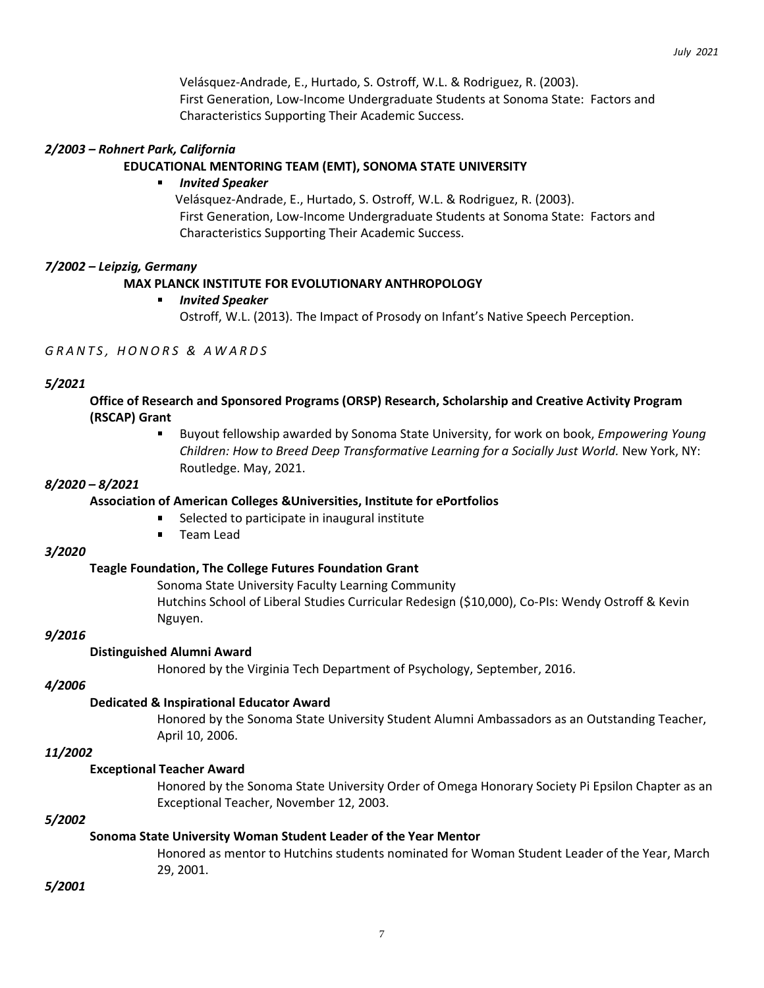Velásquez-Andrade, E., Hurtado, S. Ostroff, W.L. & Rodriguez, R. (2003). First Generation, Low-Income Undergraduate Students at Sonoma State: Factors and Characteristics Supporting Their Academic Success.

## *2/2003 – Rohnert Park, California*

## **EDUCATIONAL MENTORING TEAM (EMT), SONOMA STATE UNIVERSITY**

### *Invited Speaker*

Velásquez-Andrade, E., Hurtado, S. Ostroff, W.L. & Rodriguez, R. (2003). First Generation, Low-Income Undergraduate Students at Sonoma State: Factors and Characteristics Supporting Their Academic Success.

## *7/2002 – Leipzig, Germany*

## **MAX PLANCK INSTITUTE FOR EVOLUTIONARY ANTHROPOLOGY**

#### *Invited Speaker*

Ostroff, W.L. (2013). The Impact of Prosody on Infant's Native Speech Perception.

### *G R A N T S , H O N O R S & A W A R D S*

#### *5/2021*

**Office of Research and Sponsored Programs (ORSP) Research, Scholarship and Creative Activity Program (RSCAP) Grant**

> Buyout fellowship awarded by Sonoma State University, for work on book, *Empowering Young Children: How to Breed Deep Transformative Learning for a Socially Just World.* New York, NY: Routledge. May, 2021.

#### *8/2020 – 8/2021*

#### **Association of American Colleges &Universities, Institute for ePortfolios**

- Selected to participate in inaugural institute
- $\blacksquare$ Team Lead

#### *3/2020*

#### **Teagle Foundation, The College Futures Foundation Grant**

Sonoma State University Faculty Learning Community Hutchins School of Liberal Studies Curricular Redesign (\$10,000), Co-PIs: Wendy Ostroff & Kevin Nguyen.

#### *9/2016*

#### **Distinguished Alumni Award**

Honored by the Virginia Tech Department of Psychology, September, 2016.

#### *4/2006*

#### **Dedicated & Inspirational Educator Award**

Honored by the Sonoma State University Student Alumni Ambassadors as an Outstanding Teacher, April 10, 2006.

### *11/2002*

#### **Exceptional Teacher Award**

Honored by the Sonoma State University Order of Omega Honorary Society Pi Epsilon Chapter as an Exceptional Teacher, November 12, 2003.

#### *5/2002*

## **Sonoma State University Woman Student Leader of the Year Mentor**

Honored as mentor to Hutchins students nominated for Woman Student Leader of the Year, March 29, 2001.

*5/2001*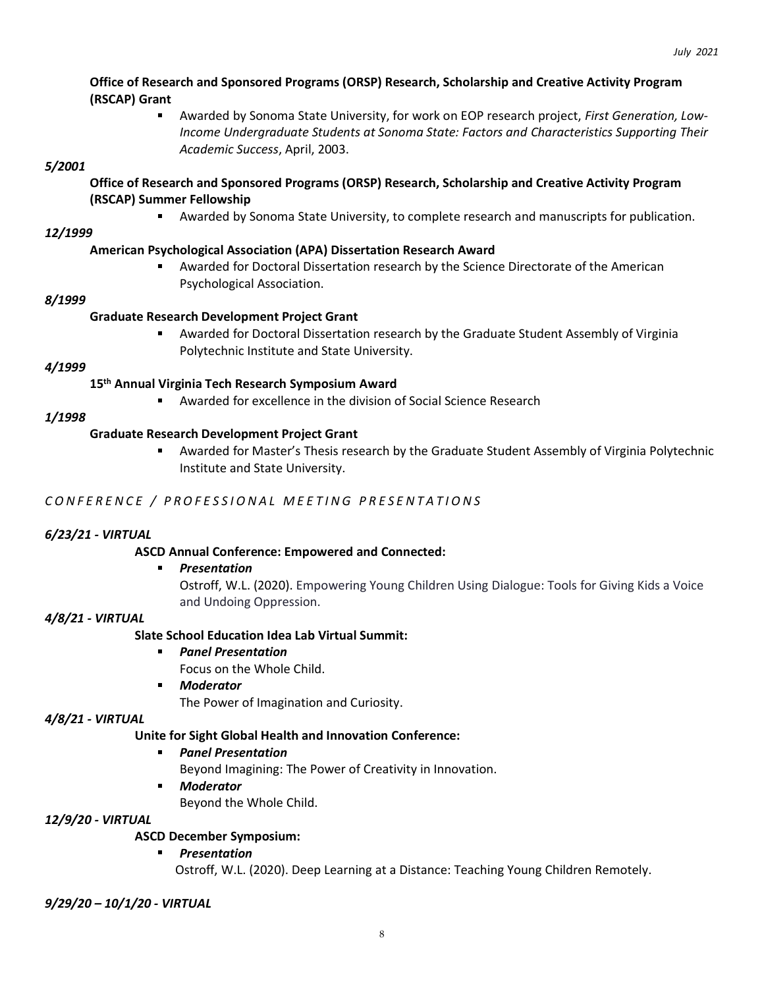# **Office of Research and Sponsored Programs (ORSP) Research, Scholarship and Creative Activity Program (RSCAP) Grant**

Awarded by Sonoma State University, for work on EOP research project, *First Generation, Low-Income Undergraduate Students at Sonoma State: Factors and Characteristics Supporting Their Academic Success*, April, 2003.

# *5/2001*

# **Office of Research and Sponsored Programs (ORSP) Research, Scholarship and Creative Activity Program (RSCAP) Summer Fellowship**

Awarded by Sonoma State University, to complete research and manuscripts for publication.

# *12/1999*

# **American Psychological Association (APA) Dissertation Research Award**

 $\blacksquare$ Awarded for Doctoral Dissertation research by the Science Directorate of the American Psychological Association.

# *8/1999*

# **Graduate Research Development Project Grant**

Awarded for Doctoral Dissertation research by the Graduate Student Assembly of Virginia  $\blacksquare$ Polytechnic Institute and State University.

## *4/1999*

# **15th Annual Virginia Tech Research Symposium Award**

Awarded for excellence in the division of Social Science Research

# *1/1998*

# **Graduate Research Development Project Grant**

Awarded for Master's Thesis research by the Graduate Student Assembly of Virginia Polytechnic  $\blacksquare$ Institute and State University.

# *C O N F E R E N C E / P R O F E S S I O N A L M E E T I N G P R E S E N T A T I O N S*

# *6/23/21 - VIRTUAL*

# **ASCD Annual Conference: Empowered and Connected:**

## *Presentation*

 $\blacksquare$ 

Ostroff, W.L. (2020). Empowering Young Children Using Dialogue: Tools for Giving Kids a Voice and Undoing Oppression.

## *4/8/21 - VIRTUAL*

# **Slate School Education Idea Lab Virtual Summit:**

## *Panel Presentation*

Focus on the Whole Child.

*Moderator*

The Power of Imagination and Curiosity.

# *4/8/21 - VIRTUAL*

# **Unite for Sight Global Health and Innovation Conference:**

#### $\blacksquare$ *Panel Presentation*

Beyond Imagining: The Power of Creativity in Innovation.

*Moderator*  $\blacksquare$ 

Beyond the Whole Child.

## *12/9/20 - VIRTUAL*

# **ASCD December Symposium:**

## *Presentation*

Ostroff, W.L. (2020). Deep Learning at a Distance: Teaching Young Children Remotely.

*9/29/20 – 10/1/20 - VIRTUAL*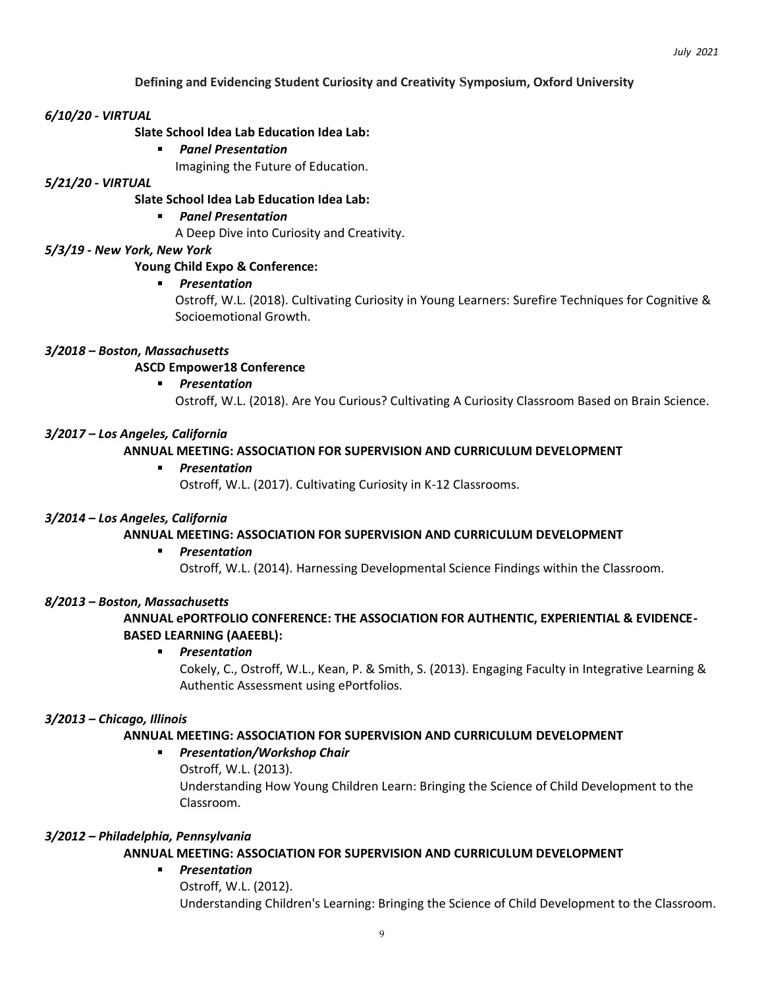## **Defining and Evidencing Student Curiosity and Creativity Symposium, Oxford University**

#### *6/10/20 - VIRTUAL*

#### **Slate School Idea Lab Education Idea Lab:**

*Panel Presentation*  $\blacksquare$ 

Imagining the Future of Education.

#### *5/21/20 - VIRTUAL*

**Slate School Idea Lab Education Idea Lab:**

#### *Panel Presentation*

A Deep Dive into Curiosity and Creativity.

### *5/3/19 - New York, New York*

### **Young Child Expo & Conference:**

#### *Presentation*

Ostroff, W.L. (2018). Cultivating Curiosity in Young Learners: Surefire Techniques for Cognitive & Socioemotional Growth.

## *3/2018 – Boston, Massachusetts*

## **ASCD Empower18 Conference**

a. *Presentation*

Ostroff, W.L. (2018). Are You Curious? Cultivating A Curiosity Classroom Based on Brain Science.

#### *3/2017 – Los Angeles, California*

#### **ANNUAL MEETING: ASSOCIATION FOR SUPERVISION AND CURRICULUM DEVELOPMENT**

#### *Presentation*

Ostroff, W.L. (2017). Cultivating Curiosity in K-12 Classrooms.

#### *3/2014 – Los Angeles, California*

## **ANNUAL MEETING: ASSOCIATION FOR SUPERVISION AND CURRICULUM DEVELOPMENT**

*Presentation*

Ostroff, W.L. (2014). Harnessing Developmental Science Findings within the Classroom.

#### *8/2013 – Boston, Massachusetts*

## **ANNUAL ePORTFOLIO CONFERENCE: THE ASSOCIATION FOR AUTHENTIC, EXPERIENTIAL & EVIDENCE-BASED LEARNING (AAEEBL):**

#### *Presentation*

Cokely, C., Ostroff, W.L., Kean, P. & Smith, S. (2013). Engaging Faculty in Integrative Learning & Authentic Assessment using ePortfolios.

#### *3/2013 – Chicago, Illinois*

#### **ANNUAL MEETING: ASSOCIATION FOR SUPERVISION AND CURRICULUM DEVELOPMENT**

#### *Presentation/Workshop Chair*

Ostroff, W.L. (2013).

Understanding How Young Children Learn: Bringing the Science of Child Development to the Classroom.

#### *3/2012 – Philadelphia, Pennsylvania*

#### **ANNUAL MEETING: ASSOCIATION FOR SUPERVISION AND CURRICULUM DEVELOPMENT**

## *Presentation*

Ostroff, W.L. (2012). Understanding Children's Learning: Bringing the Science of Child Development to the Classroom.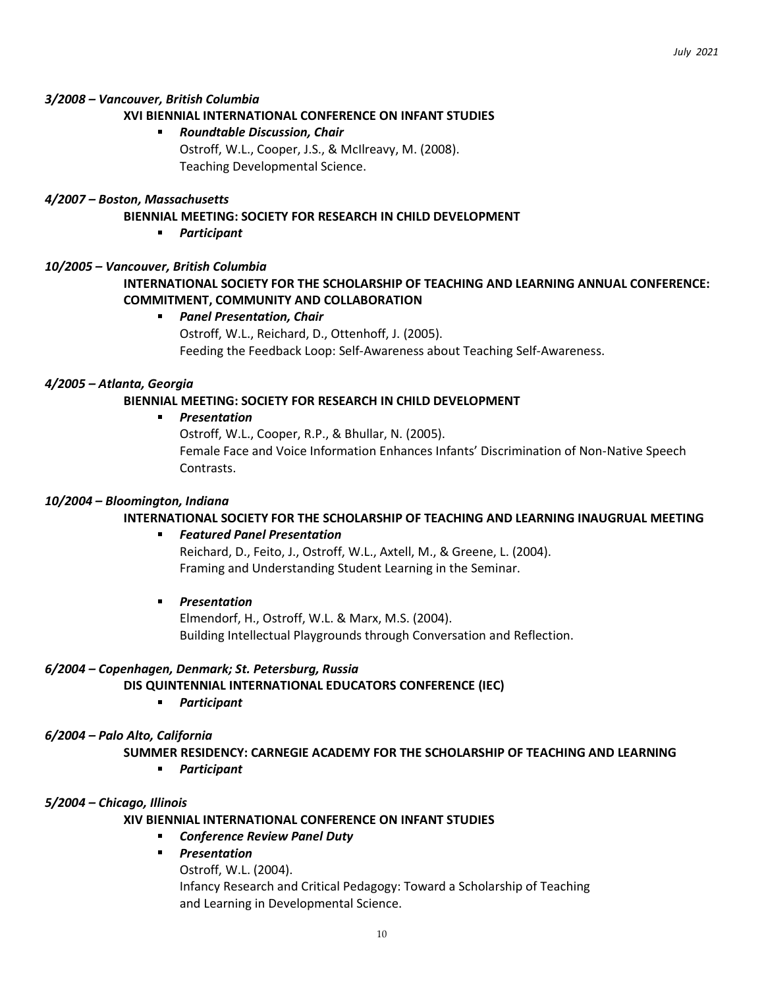## *3/2008 – Vancouver, British Columbia*

### **XVI BIENNIAL INTERNATIONAL CONFERENCE ON INFANT STUDIES**

### *Roundtable Discussion, Chair*

Ostroff, W.L., Cooper, J.S., & McIlreavy, M. (2008). Teaching Developmental Science.

#### *4/2007 – Boston, Massachusetts*

### **BIENNIAL MEETING: SOCIETY FOR RESEARCH IN CHILD DEVELOPMENT**

 $\blacksquare$ *Participant*

## *10/2005 – Vancouver, British Columbia*

# **INTERNATIONAL SOCIETY FOR THE SCHOLARSHIP OF TEACHING AND LEARNING ANNUAL CONFERENCE: COMMITMENT, COMMUNITY AND COLLABORATION**

*Panel Presentation, Chair* Ostroff, W.L., Reichard, D., Ottenhoff, J. (2005). Feeding the Feedback Loop: Self-Awareness about Teaching Self-Awareness.

#### *4/2005 – Atlanta, Georgia*

## **BIENNIAL MEETING: SOCIETY FOR RESEARCH IN CHILD DEVELOPMENT**

#### *Presentation*

Ostroff, W.L., Cooper, R.P., & Bhullar, N. (2005). Female Face and Voice Information Enhances Infants' Discrimination of Non-Native Speech Contrasts.

#### *10/2004 – Bloomington, Indiana*

#### **INTERNATIONAL SOCIETY FOR THE SCHOLARSHIP OF TEACHING AND LEARNING INAUGRUAL MEETING**

#### *Featured Panel Presentation*

Reichard, D., Feito, J., Ostroff, W.L., Axtell, M., & Greene, L. (2004). Framing and Understanding Student Learning in the Seminar.

 $\mathbf{r}$ *Presentation*

> Elmendorf, H., Ostroff, W.L. & Marx, M.S. (2004). Building Intellectual Playgrounds through Conversation and Reflection.

#### *6/2004 – Copenhagen, Denmark; St. Petersburg, Russia*

**DIS QUINTENNIAL INTERNATIONAL EDUCATORS CONFERENCE (IEC)**

*Participant*  $\mathbf{r}$ 

### *6/2004 – Palo Alto, California*

**SUMMER RESIDENCY: CARNEGIE ACADEMY FOR THE SCHOLARSHIP OF TEACHING AND LEARNING**

*Participant*

#### *5/2004 – Chicago, Illinois*

**XIV BIENNIAL INTERNATIONAL CONFERENCE ON INFANT STUDIES**

- *Conference Review Panel Duty*
- *Presentation*

Ostroff, W.L. (2004). Infancy Research and Critical Pedagogy: Toward a Scholarship of Teaching and Learning in Developmental Science.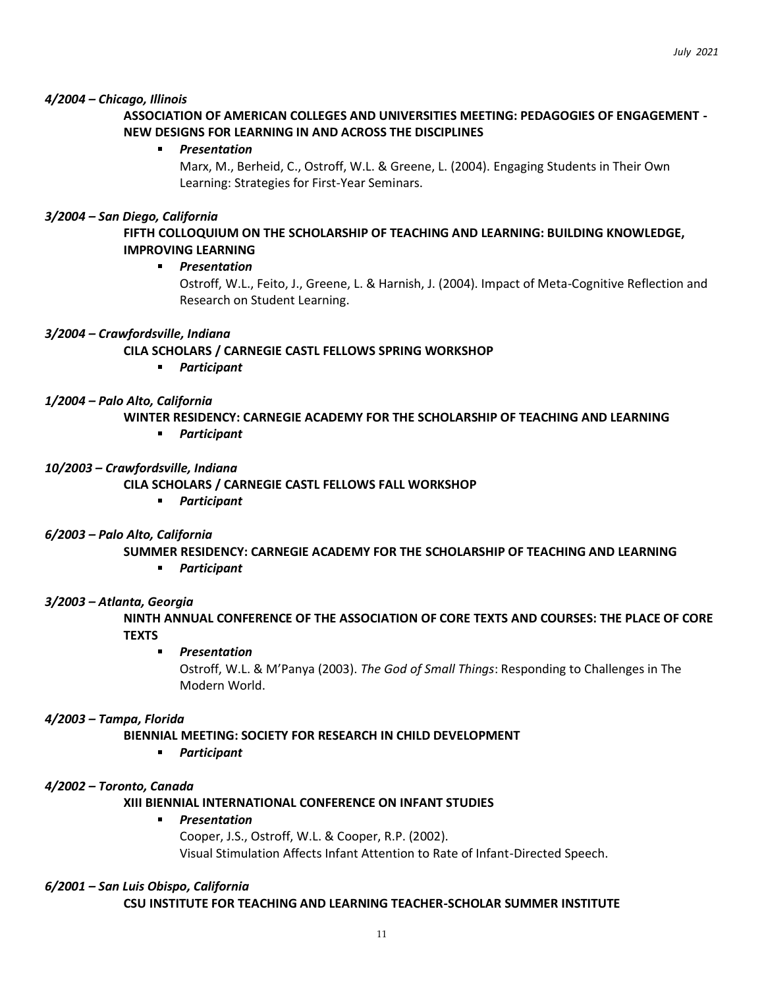## *4/2004 – Chicago, Illinois*

# **ASSOCIATION OF AMERICAN COLLEGES AND UNIVERSITIES MEETING: PEDAGOGIES OF ENGAGEMENT - NEW DESIGNS FOR LEARNING IN AND ACROSS THE DISCIPLINES**

#### *Presentation*

Marx, M., Berheid, C., Ostroff, W.L. & Greene, L. (2004). Engaging Students in Their Own Learning: Strategies for First-Year Seminars.

#### *3/2004 – San Diego, California*

**FIFTH COLLOQUIUM ON THE SCHOLARSHIP OF TEACHING AND LEARNING: BUILDING KNOWLEDGE, IMPROVING LEARNING**

#### $\mathbf{r}$ *Presentation*

Ostroff, W.L., Feito, J., Greene, L. & Harnish, J. (2004). Impact of Meta-Cognitive Reflection and Research on Student Learning.

#### *3/2004 – Crawfordsville, Indiana*

**CILA SCHOLARS / CARNEGIE CASTL FELLOWS SPRING WORKSHOP**

*Participant*

#### *1/2004 – Palo Alto, California*

**WINTER RESIDENCY: CARNEGIE ACADEMY FOR THE SCHOLARSHIP OF TEACHING AND LEARNING**

*Participant*

### *10/2003 – Crawfordsville, Indiana*

**CILA SCHOLARS / CARNEGIE CASTL FELLOWS FALL WORKSHOP**

*Participant*

#### *6/2003 – Palo Alto, California*

**SUMMER RESIDENCY: CARNEGIE ACADEMY FOR THE SCHOLARSHIP OF TEACHING AND LEARNING**

*Participant*

#### *3/2003 – Atlanta, Georgia*

**NINTH ANNUAL CONFERENCE OF THE ASSOCIATION OF CORE TEXTS AND COURSES: THE PLACE OF CORE TEXTS**

*Presentation*

Ostroff, W.L. & M'Panya (2003). *The God of Small Things*: Responding to Challenges in The Modern World.

#### *4/2003 – Tampa, Florida*

#### **BIENNIAL MEETING: SOCIETY FOR RESEARCH IN CHILD DEVELOPMENT**

 $\blacksquare$ *Participant*

#### *4/2002 – Toronto, Canada*

#### **XIII BIENNIAL INTERNATIONAL CONFERENCE ON INFANT STUDIES**

#### *Presentation*   $\mathbf{r}$

Cooper, J.S., Ostroff, W.L. & Cooper, R.P. (2002). Visual Stimulation Affects Infant Attention to Rate of Infant-Directed Speech.

#### *6/2001 – San Luis Obispo, California*

**CSU INSTITUTE FOR TEACHING AND LEARNING TEACHER-SCHOLAR SUMMER INSTITUTE**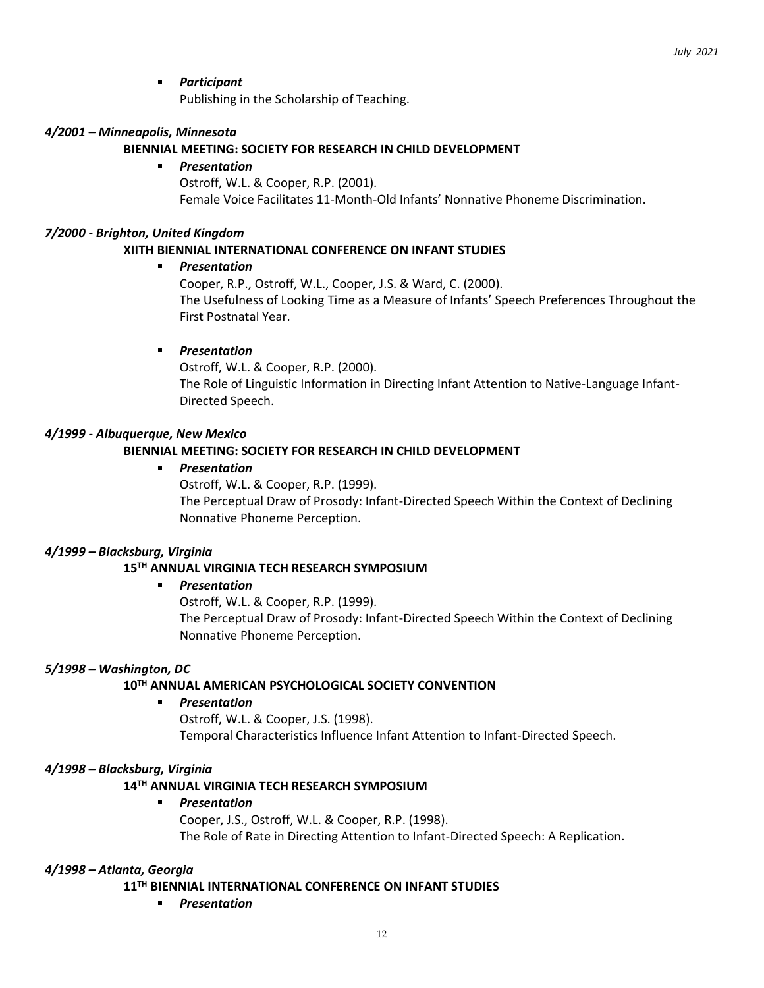#### $\blacksquare$ *Participant*

Publishing in the Scholarship of Teaching.

### *4/2001 – Minneapolis, Minnesota*

### **BIENNIAL MEETING: SOCIETY FOR RESEARCH IN CHILD DEVELOPMENT**

#### *Presentation*   $\blacksquare$

Ostroff, W.L. & Cooper, R.P. (2001). Female Voice Facilitates 11-Month-Old Infants' Nonnative Phoneme Discrimination.

### *7/2000 - Brighton, United Kingdom*

## **XIITH BIENNIAL INTERNATIONAL CONFERENCE ON INFANT STUDIES**

#### $\blacksquare$ *Presentation*

Cooper, R.P., Ostroff, W.L., Cooper, J.S. & Ward, C. (2000). The Usefulness of Looking Time as a Measure of Infants' Speech Preferences Throughout the First Postnatal Year.

## *Presentation*

Ostroff, W.L. & Cooper, R.P. (2000). The Role of Linguistic Information in Directing Infant Attention to Native-Language Infant-Directed Speech.

## *4/1999 - Albuquerque, New Mexico*

## **BIENNIAL MEETING: SOCIETY FOR RESEARCH IN CHILD DEVELOPMENT**

## *Presentation*

Ostroff, W.L. & Cooper, R.P. (1999).

The Perceptual Draw of Prosody: Infant-Directed Speech Within the Context of Declining Nonnative Phoneme Perception.

#### *4/1999 – Blacksburg, Virginia*

#### **15TH ANNUAL VIRGINIA TECH RESEARCH SYMPOSIUM**

#### *Presentation*

Ostroff, W.L. & Cooper, R.P. (1999).

The Perceptual Draw of Prosody: Infant-Directed Speech Within the Context of Declining Nonnative Phoneme Perception.

#### *5/1998 – Washington, DC*

## **10TH ANNUAL AMERICAN PSYCHOLOGICAL SOCIETY CONVENTION**

#### *Presentation*

Ostroff, W.L. & Cooper, J.S. (1998). Temporal Characteristics Influence Infant Attention to Infant-Directed Speech.

#### *4/1998 – Blacksburg, Virginia*

## **14TH ANNUAL VIRGINIA TECH RESEARCH SYMPOSIUM**

#### *Presentation*

Cooper, J.S., Ostroff, W.L. & Cooper, R.P. (1998). The Role of Rate in Directing Attention to Infant-Directed Speech: A Replication.

#### *4/1998 – Atlanta, Georgia*

#### **11TH BIENNIAL INTERNATIONAL CONFERENCE ON INFANT STUDIES**

*Presentation*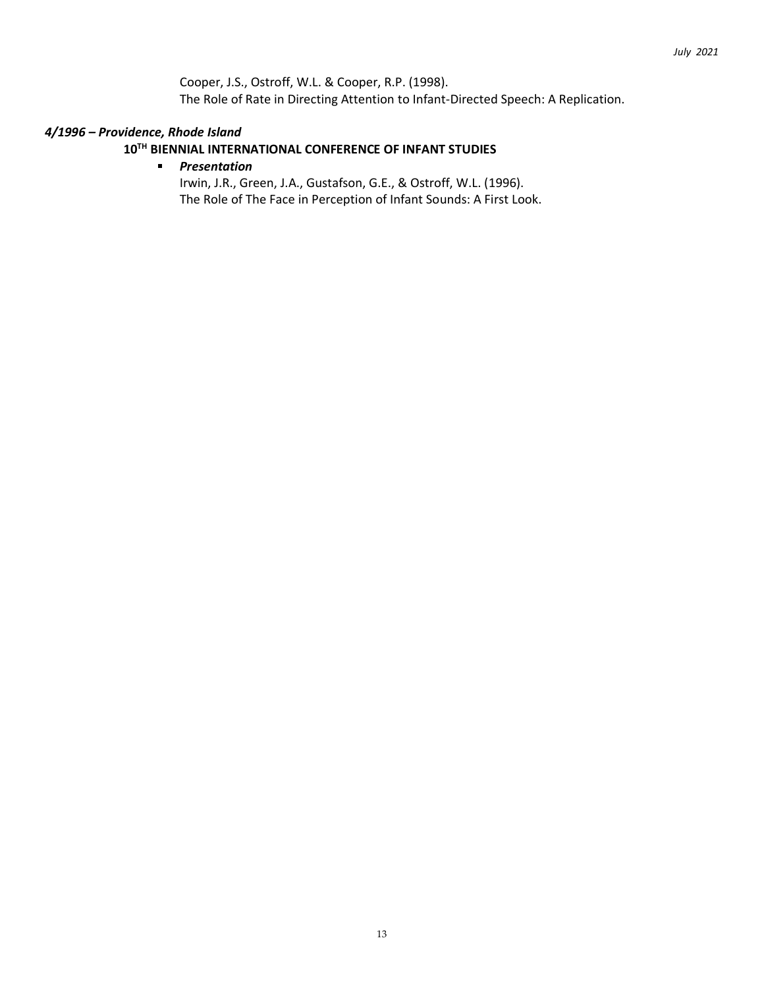Cooper, J.S., Ostroff, W.L. & Cooper, R.P. (1998). The Role of Rate in Directing Attention to Infant-Directed Speech: A Replication.

## *4/1996 – Providence, Rhode Island*

## **10TH BIENNIAL INTERNATIONAL CONFERENCE OF INFANT STUDIES**

#### *Presentation*  $\blacksquare$

Irwin, J.R., Green, J.A., Gustafson, G.E., & Ostroff, W.L. (1996). The Role of The Face in Perception of Infant Sounds: A First Look.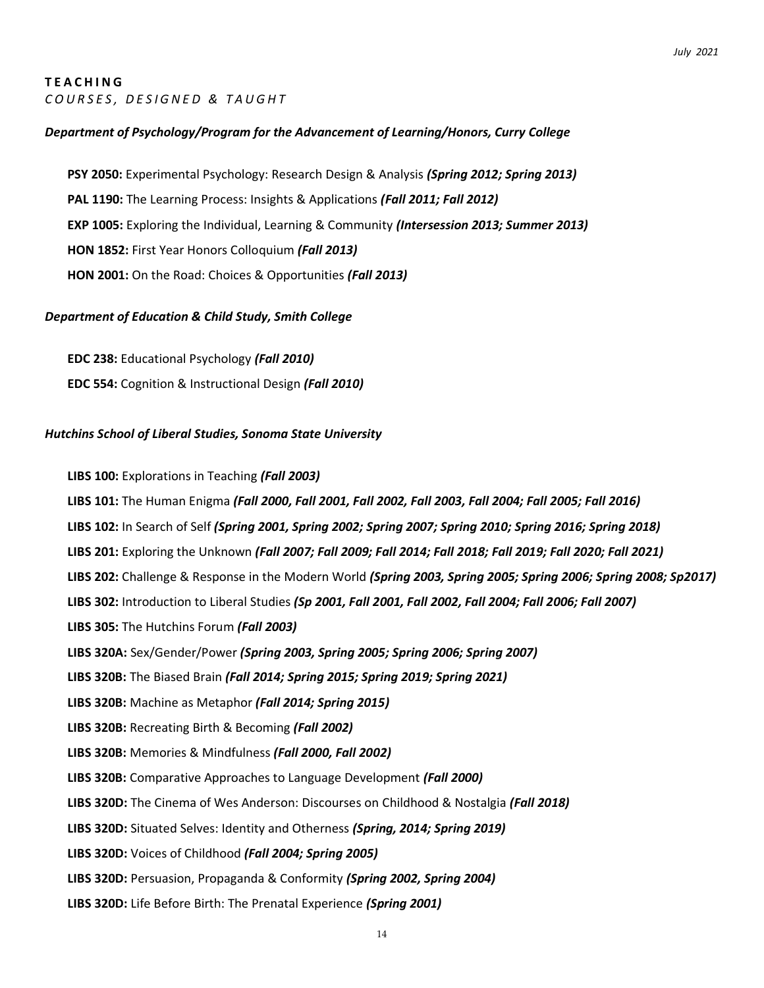### **T E A C H I N G** *C O U R S E S , D E S I G N E D & T A U G H T*

# *Department of Psychology/Program for the Advancement of Learning/Honors, Curry College*

**PSY 2050:** Experimental Psychology: Research Design & Analysis *(Spring 2012; Spring 2013)* **PAL 1190:** The Learning Process: Insights & Applications *(Fall 2011; Fall 2012)* **EXP 1005:** Exploring the Individual, Learning & Community *(Intersession 2013; Summer 2013)* **HON 1852:** First Year Honors Colloquium *(Fall 2013)* **HON 2001:** On the Road: Choices & Opportunities *(Fall 2013)*

## *Department of Education & Child Study, Smith College*

**EDC 238:** Educational Psychology *(Fall 2010)* **EDC 554:** Cognition & Instructional Design *(Fall 2010)*

## *Hutchins School of Liberal Studies, Sonoma State University*

**LIBS 100:** Explorations in Teaching *(Fall 2003)*

**LIBS 101:** The Human Enigma *(Fall 2000, Fall 2001, Fall 2002, Fall 2003, Fall 2004; Fall 2005; Fall 2016)*

**LIBS 102:** In Search of Self *(Spring 2001, Spring 2002; Spring 2007; Spring 2010; Spring 2016; Spring 2018)*

**LIBS 201:** Exploring the Unknown *(Fall 2007; Fall 2009; Fall 2014; Fall 2018; Fall 2019; Fall 2020; Fall 2021)*

**LIBS 202:** Challenge & Response in the Modern World *(Spring 2003, Spring 2005; Spring 2006; Spring 2008; Sp2017)*

**LIBS 302:** Introduction to Liberal Studies *(Sp 2001, Fall 2001, Fall 2002, Fall 2004; Fall 2006; Fall 2007)*

**LIBS 305:** The Hutchins Forum *(Fall 2003)*

**LIBS 320A:** Sex/Gender/Power *(Spring 2003, Spring 2005; Spring 2006; Spring 2007)*

**LIBS 320B:** The Biased Brain *(Fall 2014; Spring 2015; Spring 2019; Spring 2021)*

**LIBS 320B:** Machine as Metaphor *(Fall 2014; Spring 2015)*

**LIBS 320B:** Recreating Birth & Becoming *(Fall 2002)*

**LIBS 320B:** Memories & Mindfulness *(Fall 2000, Fall 2002)*

**LIBS 320B:** Comparative Approaches to Language Development *(Fall 2000)*

**LIBS 320D:** The Cinema of Wes Anderson: Discourses on Childhood & Nostalgia *(Fall 2018)*

**LIBS 320D:** Situated Selves: Identity and Otherness *(Spring, 2014; Spring 2019)*

**LIBS 320D:** Voices of Childhood *(Fall 2004; Spring 2005)*

**LIBS 320D:** Persuasion, Propaganda & Conformity *(Spring 2002, Spring 2004)*

**LIBS 320D:** Life Before Birth: The Prenatal Experience *(Spring 2001)*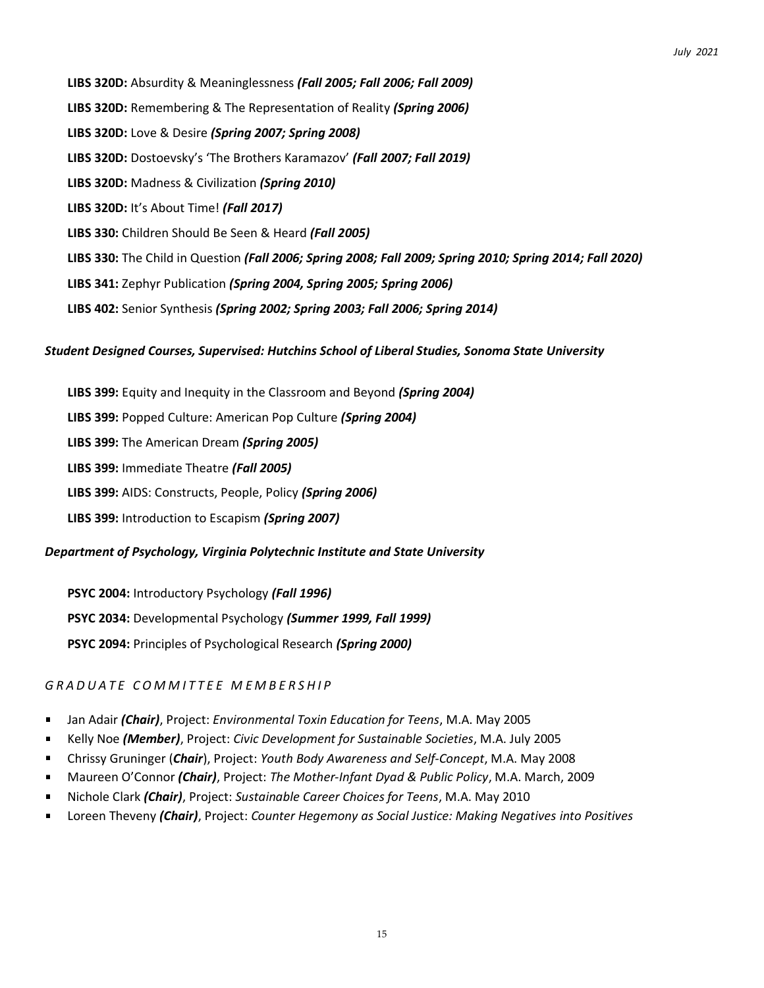**LIBS 320D:** Absurdity & Meaninglessness *(Fall 2005; Fall 2006; Fall 2009)* **LIBS 320D:** Remembering & The Representation of Reality *(Spring 2006)* **LIBS 320D:** Love & Desire *(Spring 2007; Spring 2008)* **LIBS 320D:** Dostoevsky's 'The Brothers Karamazov' *(Fall 2007; Fall 2019)* **LIBS 320D:** Madness & Civilization *(Spring 2010)* **LIBS 320D:** It's About Time! *(Fall 2017)* **LIBS 330:** Children Should Be Seen & Heard *(Fall 2005)* **LIBS 330:** The Child in Question *(Fall 2006; Spring 2008; Fall 2009; Spring 2010; Spring 2014; Fall 2020)* **LIBS 341:** Zephyr Publication *(Spring 2004, Spring 2005; Spring 2006)* **LIBS 402:** Senior Synthesis *(Spring 2002; Spring 2003; Fall 2006; Spring 2014)*

# *Student Designed Courses, Supervised: Hutchins School of Liberal Studies, Sonoma State University*

**LIBS 399:** Equity and Inequity in the Classroom and Beyond *(Spring 2004)* **LIBS 399:** Popped Culture: American Pop Culture *(Spring 2004)* **LIBS 399:** The American Dream *(Spring 2005)* **LIBS 399:** Immediate Theatre *(Fall 2005)* **LIBS 399:** AIDS: Constructs, People, Policy *(Spring 2006)* **LIBS 399:** Introduction to Escapism *(Spring 2007)*

## *Department of Psychology, Virginia Polytechnic Institute and State University*

**PSYC 2004:** Introductory Psychology *(Fall 1996)* **PSYC 2034:** Developmental Psychology *(Summer 1999, Fall 1999)* **PSYC 2094:** Principles of Psychological Research *(Spring 2000)*

# *G R A D U A T E C O M M I T T E E M E M B E R S H I P*

- $\blacksquare$ Jan Adair *(Chair)*, Project: *Environmental Toxin Education for Teens*, M.A. May 2005
- Kelly Noe *(Member)*, Project: *Civic Development for Sustainable Societies*, M.A. July 2005
- Chrissy Gruninger (*Chair*), Project: *Youth Body Awareness and Self-Concept*, M.A. May 2008  $\blacksquare$
- Maureen O'Connor *(Chair)*, Project: *The Mother-Infant Dyad & Public Policy*, M.A. March, 2009
- Nichole Clark *(Chair)*, Project: *Sustainable Career Choices for Teens*, M.A. May 2010  $\blacksquare$
- Loreen Theveny *(Chair)*, Project: *Counter Hegemony as Social Justice: Making Negatives into Positives*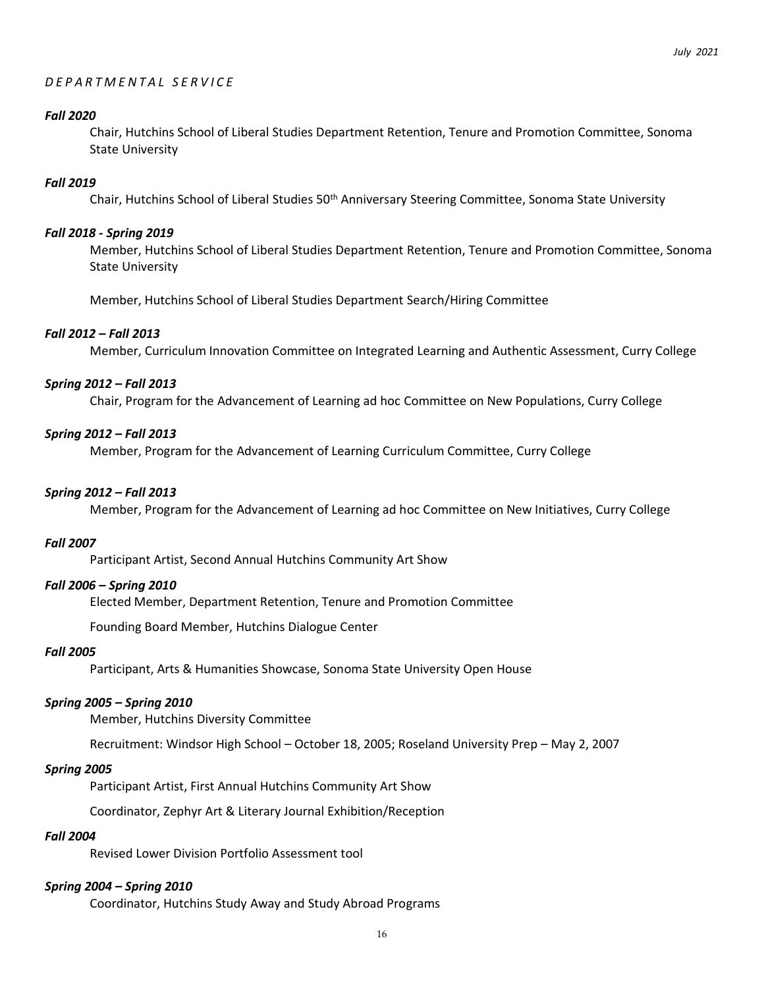## *D E P A R T M E N T A L S E R V I C E*

#### *Fall 2020*

Chair, Hutchins School of Liberal Studies Department Retention, Tenure and Promotion Committee, Sonoma State University

### *Fall 2019*

Chair, Hutchins School of Liberal Studies 50<sup>th</sup> Anniversary Steering Committee, Sonoma State University

### *Fall 2018 - Spring 2019*

Member, Hutchins School of Liberal Studies Department Retention, Tenure and Promotion Committee, Sonoma State University

Member, Hutchins School of Liberal Studies Department Search/Hiring Committee

## *Fall 2012 – Fall 2013*

Member, Curriculum Innovation Committee on Integrated Learning and Authentic Assessment, Curry College

## *Spring 2012 – Fall 2013*

Chair, Program for the Advancement of Learning ad hoc Committee on New Populations, Curry College

## *Spring 2012 – Fall 2013*

Member, Program for the Advancement of Learning Curriculum Committee, Curry College

### *Spring 2012 – Fall 2013*

Member, Program for the Advancement of Learning ad hoc Committee on New Initiatives, Curry College

#### *Fall 2007*

Participant Artist, Second Annual Hutchins Community Art Show

#### *Fall 2006 – Spring 2010*

Elected Member, Department Retention, Tenure and Promotion Committee

Founding Board Member, Hutchins Dialogue Center

#### *Fall 2005*

Participant, Arts & Humanities Showcase, Sonoma State University Open House

#### *Spring 2005 – Spring 2010*

Member, Hutchins Diversity Committee

Recruitment: Windsor High School – October 18, 2005; Roseland University Prep – May 2, 2007

#### *Spring 2005*

Participant Artist, First Annual Hutchins Community Art Show

Coordinator, Zephyr Art & Literary Journal Exhibition/Reception

#### *Fall 2004*

Revised Lower Division Portfolio Assessment tool

#### *Spring 2004 – Spring 2010*

Coordinator, Hutchins Study Away and Study Abroad Programs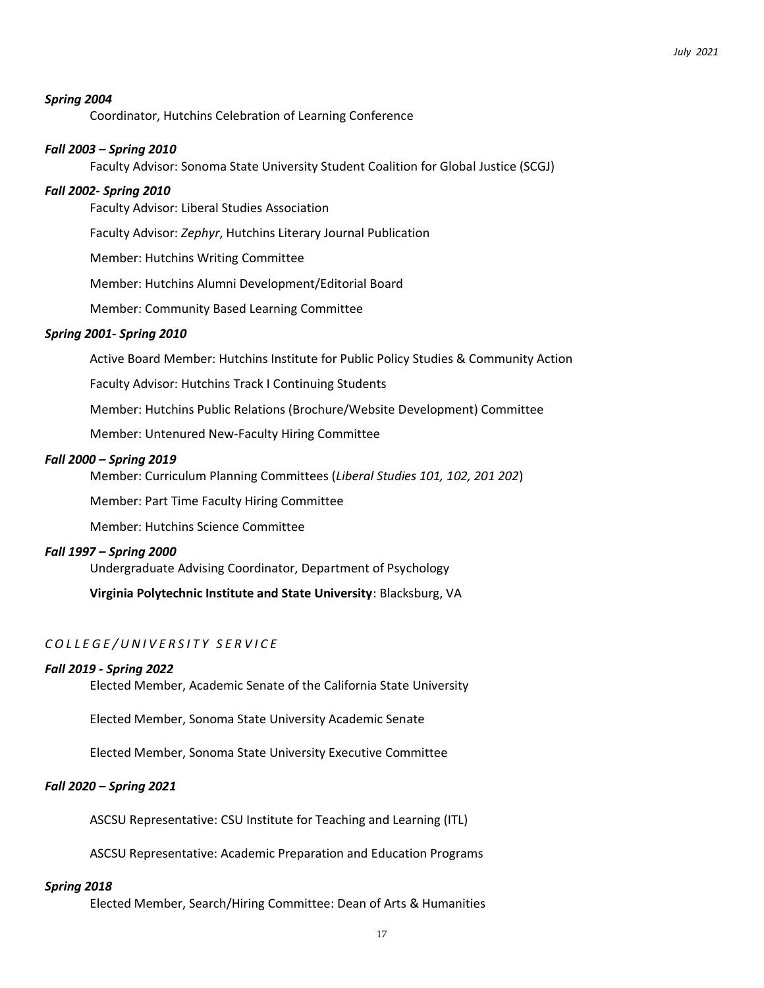#### *Spring 2004*

Coordinator, Hutchins Celebration of Learning Conference

#### *Fall 2003 – Spring 2010*

Faculty Advisor: Sonoma State University Student Coalition for Global Justice (SCGJ)

#### *Fall 2002- Spring 2010*

Faculty Advisor: Liberal Studies Association

Faculty Advisor: *Zephyr*, Hutchins Literary Journal Publication

Member: Hutchins Writing Committee

Member: Hutchins Alumni Development/Editorial Board

Member: Community Based Learning Committee

#### *Spring 2001- Spring 2010*

Active Board Member: Hutchins Institute for Public Policy Studies & Community Action

Faculty Advisor: Hutchins Track I Continuing Students

Member: Hutchins Public Relations (Brochure/Website Development) Committee

Member: Untenured New-Faculty Hiring Committee

#### *Fall 2000 – Spring 2019*

Member: Curriculum Planning Committees (*Liberal Studies 101, 102, 201 202*)

Member: Part Time Faculty Hiring Committee

Member: Hutchins Science Committee

#### *Fall 1997 – Spring 2000*

Undergraduate Advising Coordinator, Department of Psychology

**Virginia Polytechnic Institute and State University**: Blacksburg, VA

### *C O L L E G E / U N I V E R S I T Y S E R V I C E*

#### *Fall 2019 - Spring 2022*

Elected Member, Academic Senate of the California State University

Elected Member, Sonoma State University Academic Senate

Elected Member, Sonoma State University Executive Committee

#### *Fall 2020 – Spring 2021*

ASCSU Representative: CSU Institute for Teaching and Learning (ITL)

ASCSU Representative: Academic Preparation and Education Programs

#### *Spring 2018*

Elected Member, Search/Hiring Committee: Dean of Arts & Humanities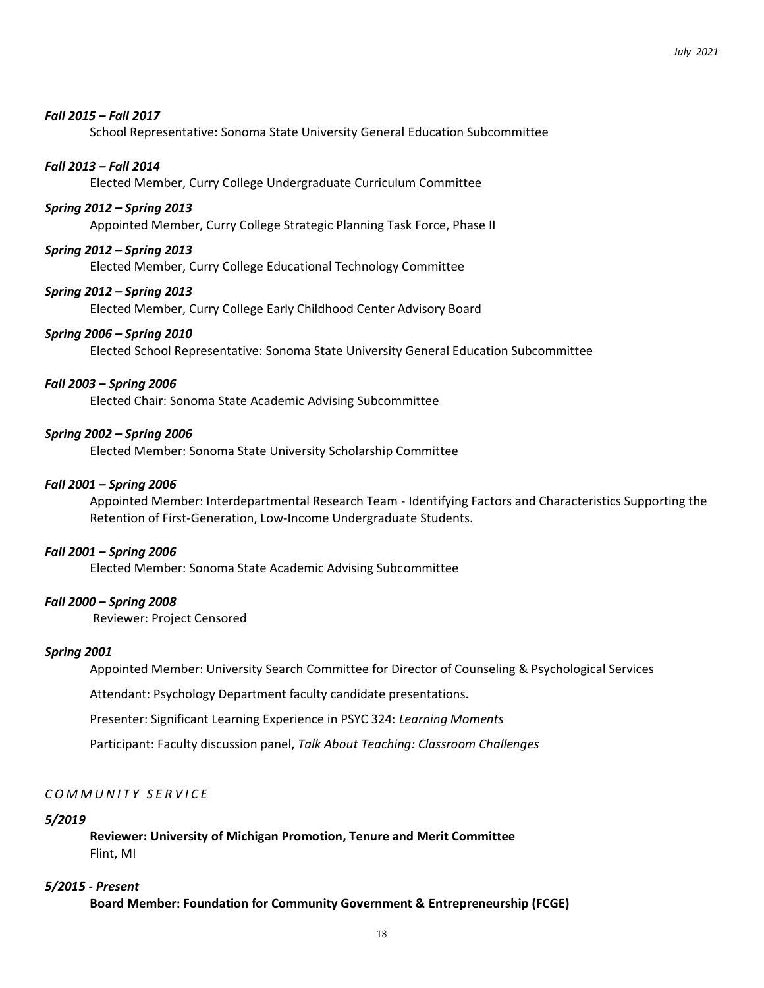### *Fall 2015 – Fall 2017*

School Representative: Sonoma State University General Education Subcommittee

#### *Fall 2013 – Fall 2014*

Elected Member, Curry College Undergraduate Curriculum Committee

#### *Spring 2012 – Spring 2013*

Appointed Member, Curry College Strategic Planning Task Force, Phase II

#### *Spring 2012 – Spring 2013*

Elected Member, Curry College Educational Technology Committee

#### *Spring 2012 – Spring 2013*

Elected Member, Curry College Early Childhood Center Advisory Board

#### *Spring 2006 – Spring 2010*

Elected School Representative: Sonoma State University General Education Subcommittee

### *Fall 2003 – Spring 2006*

Elected Chair: Sonoma State Academic Advising Subcommittee

#### *Spring 2002 – Spring 2006*

Elected Member: Sonoma State University Scholarship Committee

#### *Fall 2001 – Spring 2006*

Appointed Member: Interdepartmental Research Team - Identifying Factors and Characteristics Supporting the Retention of First-Generation, Low-Income Undergraduate Students.

#### *Fall 2001 – Spring 2006*

Elected Member: Sonoma State Academic Advising Subcommittee

#### *Fall 2000 – Spring 2008*

Reviewer: Project Censored

#### *Spring 2001*

Appointed Member: University Search Committee for Director of Counseling & Psychological Services

Attendant: Psychology Department faculty candidate presentations.

Presenter: Significant Learning Experience in PSYC 324: *Learning Moments*

Participant: Faculty discussion panel, *Talk About Teaching: Classroom Challenges*

#### *C O M M U N I T Y S E R V I C E*

#### *5/2019*

**Reviewer: University of Michigan Promotion, Tenure and Merit Committee** Flint, MI

#### *5/2015 - Present*

**Board Member: Foundation for Community Government & Entrepreneurship (FCGE)**